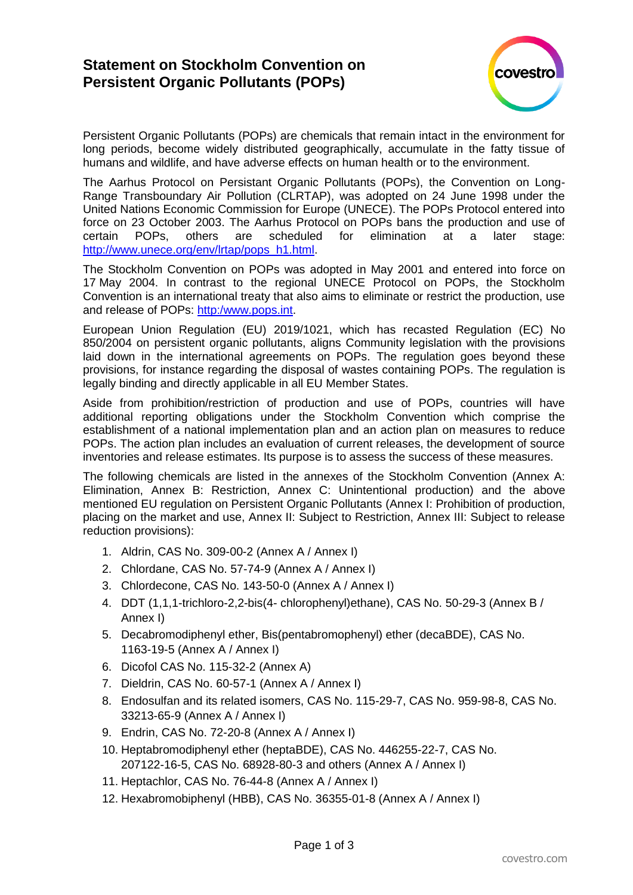## **Statement on Stockholm Convention on Persistent Organic Pollutants (POPs)**



Persistent Organic Pollutants (POPs) are chemicals that remain intact in the environment for long periods, become widely distributed geographically, accumulate in the fatty tissue of humans and wildlife, and have adverse effects on human health or to the environment.

The Aarhus Protocol on Persistant Organic Pollutants (POPs), the Convention on Long-Range Transboundary Air Pollution (CLRTAP), was adopted on 24 June 1998 under the United Nations Economic Commission for Europe (UNECE). The POPs Protocol entered into force on 23 October 2003. The Aarhus Protocol on POPs bans the production and use of certain POPs, others are scheduled for elimination at a later stage: [http://www.unece.org/env/lrtap/pops\\_h1.html.](http://www.unece.org/env/lrtap/pops_h1.html)

The Stockholm Convention on POPs was adopted in May 2001 and entered into force on 17 May 2004. In contrast to the regional UNECE Protocol on POPs, the Stockholm Convention is an international treaty that also aims to eliminate or restrict the production, use and release of POPs: [http:/www.pops.int.](http://www.pops.int/)

European Union Regulation (EU) 2019/1021, which has recasted Regulation (EC) No 850/2004 on persistent organic pollutants, aligns Community legislation with the provisions laid down in the international agreements on POPs. The regulation goes beyond these provisions, for instance regarding the disposal of wastes containing POPs. The regulation is legally binding and directly applicable in all EU Member States.

Aside from prohibition/restriction of production and use of POPs, countries will have additional reporting obligations under the Stockholm Convention which comprise the establishment of a national implementation plan and an action plan on measures to reduce POPs. The action plan includes an evaluation of current releases, the development of source inventories and release estimates. Its purpose is to assess the success of these measures.

The following chemicals are listed in the annexes of the Stockholm Convention (Annex A: Elimination, Annex B: Restriction, Annex C: Unintentional production) and the above mentioned EU regulation on Persistent Organic Pollutants (Annex I: Prohibition of production, placing on the market and use, Annex II: Subject to Restriction, Annex III: Subject to release reduction provisions):

- 1. Aldrin, CAS No. 309-00-2 (Annex A / Annex I)
- 2. Chlordane, CAS No. 57-74-9 (Annex A / Annex I)
- 3. Chlordecone, CAS No. 143-50-0 (Annex A / Annex I)
- 4. DDT (1,1,1-trichloro-2,2-bis(4- chlorophenyl)ethane), CAS No. 50-29-3 (Annex B / Annex I)
- 5. Decabromodiphenyl ether, Bis(pentabromophenyl) ether (decaBDE), CAS No. 1163-19-5 (Annex A / Annex I)
- 6. Dicofol CAS No. 115-32-2 (Annex A)
- 7. Dieldrin, CAS No. 60-57-1 (Annex A / Annex I)
- 8. Endosulfan and its related isomers, CAS No. 115-29-7, CAS No. 959-98-8, CAS No. 33213-65-9 (Annex A / Annex I)
- 9. Endrin, CAS No. 72-20-8 (Annex A / Annex I)
- 10. Heptabromodiphenyl ether (heptaBDE), CAS No. 446255-22-7, CAS No. 207122-16-5, CAS No. 68928-80-3 and others (Annex A / Annex I)
- 11. Heptachlor, CAS No. 76-44-8 (Annex A / Annex I)
- 12. Hexabromobiphenyl (HBB), CAS No. 36355-01-8 (Annex A / Annex I)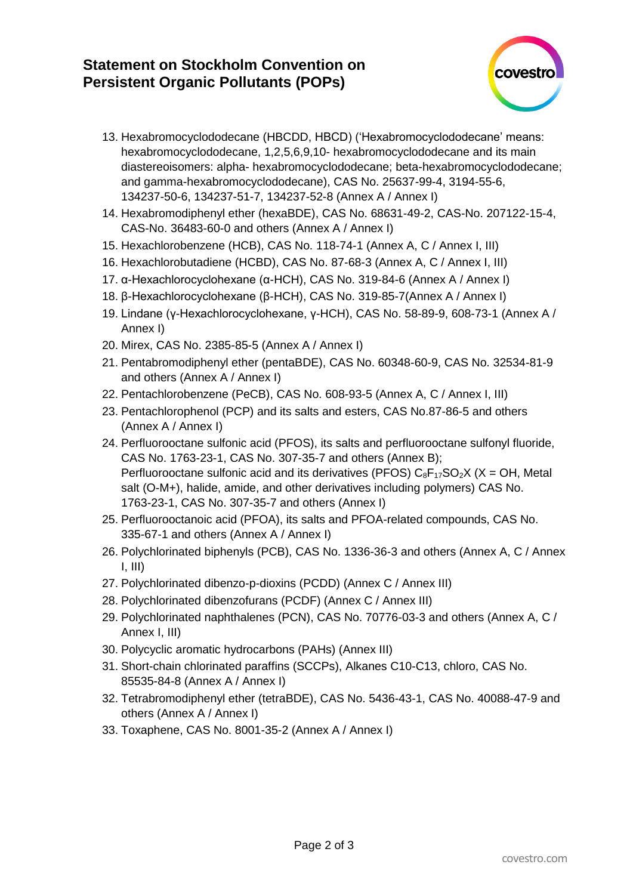## **Statement on Stockholm Convention on Persistent Organic Pollutants (POPs)**



- 13. Hexabromocyclododecane (HBCDD, HBCD) ('Hexabromocyclododecane' means: hexabromocyclododecane, 1,2,5,6,9,10- hexabromocyclododecane and its main diastereoisomers: alpha- hexabromocyclododecane; beta-hexabromocyclododecane; and gamma-hexabromocyclododecane), CAS No. 25637-99-4, 3194-55-6, 134237-50-6, 134237-51-7, 134237-52-8 (Annex A / Annex I)
- 14. Hexabromodiphenyl ether (hexaBDE), CAS No. 68631-49-2, CAS-No. 207122-15-4, CAS-No. 36483-60-0 and others (Annex A / Annex I)
- 15. Hexachlorobenzene (HCB), CAS No. 118-74-1 (Annex A, C / Annex I, III)
- 16. Hexachlorobutadiene (HCBD), CAS No. 87-68-3 (Annex A, C / Annex I, III)
- 17. α-Hexachlorocyclohexane (α-HCH), CAS No. 319-84-6 (Annex A / Annex I)
- 18. β-Hexachlorocyclohexane (β-HCH), CAS No. 319-85-7(Annex A / Annex I)
- 19. Lindane (γ-Hexachlorocyclohexane, γ-HCH), CAS No. 58-89-9, 608-73-1 (Annex A / Annex I)
- 20. Mirex, CAS No. 2385-85-5 (Annex A / Annex I)
- 21. Pentabromodiphenyl ether (pentaBDE), CAS No. 60348-60-9, CAS No. 32534-81-9 and others (Annex A / Annex I)
- 22. Pentachlorobenzene (PeCB), CAS No. 608-93-5 (Annex A, C / Annex I, III)
- 23. Pentachlorophenol (PCP) and its salts and esters, CAS No.87-86-5 and others (Annex A / Annex I)
- 24. Perfluorooctane sulfonic acid (PFOS), its salts and perfluorooctane sulfonyl fluoride, CAS No. 1763-23-1, CAS No. 307-35-7 and others (Annex B); Perfluorooctane sulfonic acid and its derivatives (PFOS)  $C_8F_{17}SO_2X$  (X = OH, Metal salt (O-M+), halide, amide, and other derivatives including polymers) CAS No. 1763-23-1, CAS No. 307-35-7 and others (Annex I)
- 25. Perfluorooctanoic acid (PFOA), its salts and PFOA-related compounds, CAS No. 335-67-1 and others (Annex A / Annex I)
- 26. Polychlorinated biphenyls (PCB), CAS No. 1336-36-3 and others (Annex A, C / Annex  $I, III$
- 27. Polychlorinated dibenzo-p-dioxins (PCDD) (Annex C / Annex III)
- 28. Polychlorinated dibenzofurans (PCDF) (Annex C / Annex III)
- 29. Polychlorinated naphthalenes (PCN), CAS No. 70776-03-3 and others (Annex A, C / Annex I, III)
- 30. Polycyclic aromatic hydrocarbons (PAHs) (Annex III)
- 31. Short-chain chlorinated paraffins (SCCPs), Alkanes C10-C13, chloro, CAS No. 85535-84-8 (Annex A / Annex I)
- 32. Tetrabromodiphenyl ether (tetraBDE), CAS No. 5436-43-1, CAS No. 40088-47-9 and others (Annex A / Annex I)
- 33. Toxaphene, CAS No. 8001-35-2 (Annex A / Annex I)